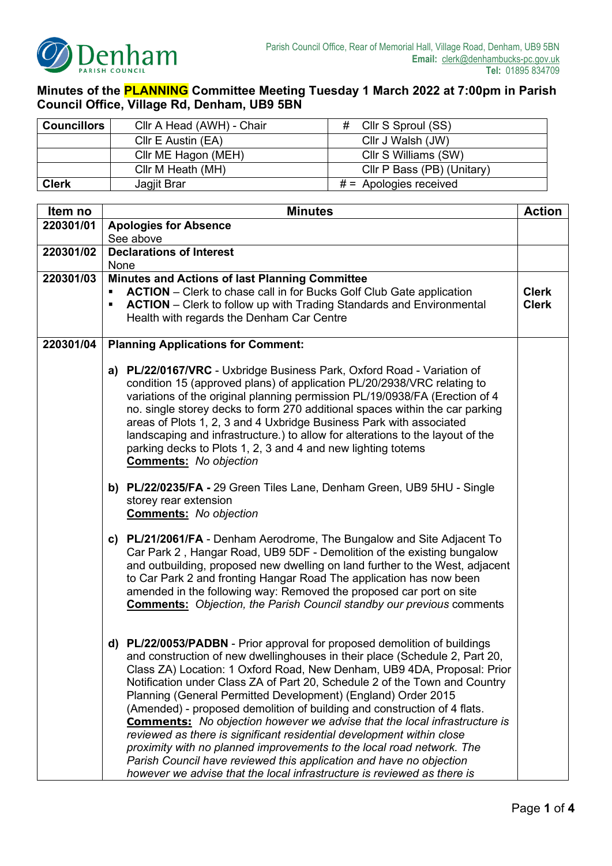

**Minutes of the PLANNING Committee Meeting Tuesday 1 March 2022 at 7:00pm in Parish Council Office, Village Rd, Denham, UB9 5BN**

| <b>Councillors</b> | Cllr A Head (AWH) - Chair | Cllr S Sproul (SS)<br>#    |  |  |
|--------------------|---------------------------|----------------------------|--|--|
|                    | CIIr E Austin (EA)        | Cllr J Walsh (JW)          |  |  |
|                    | Cllr ME Hagon (MEH)       | CIIr S Williams (SW)       |  |  |
|                    | Cllr M Heath (MH)         | Cllr P Bass (PB) (Unitary) |  |  |
| <b>Clerk</b>       | Jagjit Brar               | $# =$ Apologies received   |  |  |

| Item no   | <b>Minutes</b>                                                                                                                                                                                                                                                                                                                                                                                                                                                                                                                                                                                                                                                                                                                                                                                                                                         |              |  |  |  |
|-----------|--------------------------------------------------------------------------------------------------------------------------------------------------------------------------------------------------------------------------------------------------------------------------------------------------------------------------------------------------------------------------------------------------------------------------------------------------------------------------------------------------------------------------------------------------------------------------------------------------------------------------------------------------------------------------------------------------------------------------------------------------------------------------------------------------------------------------------------------------------|--------------|--|--|--|
| 220301/01 | <b>Apologies for Absence</b>                                                                                                                                                                                                                                                                                                                                                                                                                                                                                                                                                                                                                                                                                                                                                                                                                           |              |  |  |  |
|           | See above                                                                                                                                                                                                                                                                                                                                                                                                                                                                                                                                                                                                                                                                                                                                                                                                                                              |              |  |  |  |
| 220301/02 | <b>Declarations of Interest</b>                                                                                                                                                                                                                                                                                                                                                                                                                                                                                                                                                                                                                                                                                                                                                                                                                        |              |  |  |  |
|           | None                                                                                                                                                                                                                                                                                                                                                                                                                                                                                                                                                                                                                                                                                                                                                                                                                                                   |              |  |  |  |
| 220301/03 | Minutes and Actions of last Planning Committee                                                                                                                                                                                                                                                                                                                                                                                                                                                                                                                                                                                                                                                                                                                                                                                                         | <b>Clerk</b> |  |  |  |
|           | <b>ACTION</b> – Clerk to chase call in for Bucks Golf Club Gate application<br><b>ACTION</b> – Clerk to follow up with Trading Standards and Environmental<br>٠<br>Health with regards the Denham Car Centre                                                                                                                                                                                                                                                                                                                                                                                                                                                                                                                                                                                                                                           |              |  |  |  |
|           |                                                                                                                                                                                                                                                                                                                                                                                                                                                                                                                                                                                                                                                                                                                                                                                                                                                        |              |  |  |  |
| 220301/04 | <b>Planning Applications for Comment:</b>                                                                                                                                                                                                                                                                                                                                                                                                                                                                                                                                                                                                                                                                                                                                                                                                              |              |  |  |  |
|           | a) PL/22/0167/VRC - Uxbridge Business Park, Oxford Road - Variation of<br>condition 15 (approved plans) of application PL/20/2938/VRC relating to<br>variations of the original planning permission PL/19/0938/FA (Erection of 4<br>no. single storey decks to form 270 additional spaces within the car parking<br>areas of Plots 1, 2, 3 and 4 Uxbridge Business Park with associated<br>landscaping and infrastructure.) to allow for alterations to the layout of the<br>parking decks to Plots 1, 2, 3 and 4 and new lighting totems<br><b>Comments:</b> No objection                                                                                                                                                                                                                                                                             |              |  |  |  |
|           | b) PL/22/0235/FA - 29 Green Tiles Lane, Denham Green, UB9 5HU - Single<br>storey rear extension<br><b>Comments:</b> No objection                                                                                                                                                                                                                                                                                                                                                                                                                                                                                                                                                                                                                                                                                                                       |              |  |  |  |
|           | c) PL/21/2061/FA - Denham Aerodrome, The Bungalow and Site Adjacent To<br>Car Park 2, Hangar Road, UB9 5DF - Demolition of the existing bungalow<br>and outbuilding, proposed new dwelling on land further to the West, adjacent<br>to Car Park 2 and fronting Hangar Road The application has now been<br>amended in the following way: Removed the proposed car port on site<br><b>Comments:</b> Objection, the Parish Council standby our previous comments                                                                                                                                                                                                                                                                                                                                                                                         |              |  |  |  |
|           | d) PL/22/0053/PADBN - Prior approval for proposed demolition of buildings<br>and construction of new dwellinghouses in their place (Schedule 2, Part 20,<br>Class ZA) Location: 1 Oxford Road, New Denham, UB9 4DA, Proposal: Prior<br>Notification under Class ZA of Part 20, Schedule 2 of the Town and Country<br>Planning (General Permitted Development) (England) Order 2015<br>(Amended) - proposed demolition of building and construction of 4 flats.<br><b>Comments:</b> No objection however we advise that the local infrastructure is<br>reviewed as there is significant residential development within close<br>proximity with no planned improvements to the local road network. The<br>Parish Council have reviewed this application and have no objection<br>however we advise that the local infrastructure is reviewed as there is |              |  |  |  |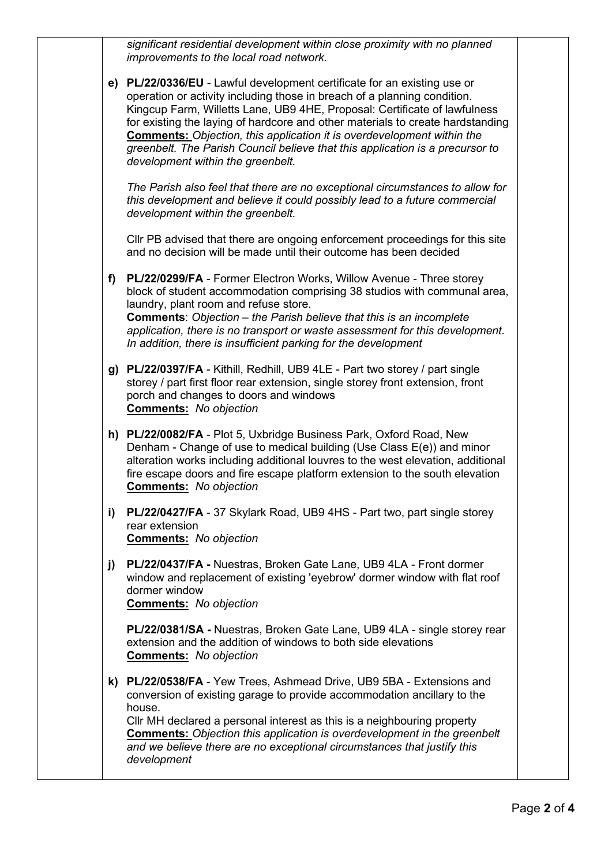*significant residential development within close proximity with no planned improvements to the local road network.*

**e) PL/22/0336/EU** - Lawful development certificate for an existing use or operation or activity including those in breach of a planning condition. Kingcup Farm, Willetts Lane, UB9 4HE, Proposal: Certificate of lawfulness for existing the laying of hardcore and other materials to create hardstanding **Comments:** *Objection, this application it is overdevelopment within the greenbelt. The Parish Council believe that this application is a precursor to development within the greenbelt.*

*The Parish also feel that there are no exceptional circumstances to allow for this development and believe it could possibly lead to a future commercial development within the greenbelt.*

Cllr PB advised that there are ongoing enforcement proceedings for this site and no decision will be made until their outcome has been decided

- **f) PL/22/0299/FA** Former Electron Works, Willow Avenue Three storey block of student accommodation comprising 38 studios with communal area, laundry, plant room and refuse store. **Comments**: *Objection – the Parish believe that this is an incomplete application, there is no transport or waste assessment for this development. In addition, there is insufficient parking for the development*
- **g) PL/22/0397/FA** Kithill, Redhill, UB9 4LE Part two storey / part single storey / part first floor rear extension, single storey front extension, front porch and changes to doors and windows **Comments:** *No objection*
- **h) PL/22/0082/FA** Plot 5, Uxbridge Business Park, Oxford Road, New Denham - Change of use to medical building (Use Class E(e)) and minor alteration works including additional louvres to the west elevation, additional fire escape doors and fire escape platform extension to the south elevation **Comments:** *No objection*
- **i) PL/22/0427/FA** 37 Skylark Road, UB9 4HS Part two, part single storey rear extension **Comments:** *No objection*
- **j) PL/22/0437/FA -** Nuestras, Broken Gate Lane, UB9 4LA Front dormer window and replacement of existing 'eyebrow' dormer window with flat roof dormer window

**Comments:** *No objection*

**PL/22/0381/SA -** Nuestras, Broken Gate Lane, UB9 4LA - single storey rear extension and the addition of windows to both side elevations **Comments:** *No objection*

**k) PL/22/0538/FA** - Yew Trees, Ashmead Drive, UB9 5BA - Extensions and conversion of existing garage to provide accommodation ancillary to the house.

Cllr MH declared a personal interest as this is a neighbouring property **Comments:** *Objection this application is overdevelopment in the greenbelt and we believe there are no exceptional circumstances that justify this development*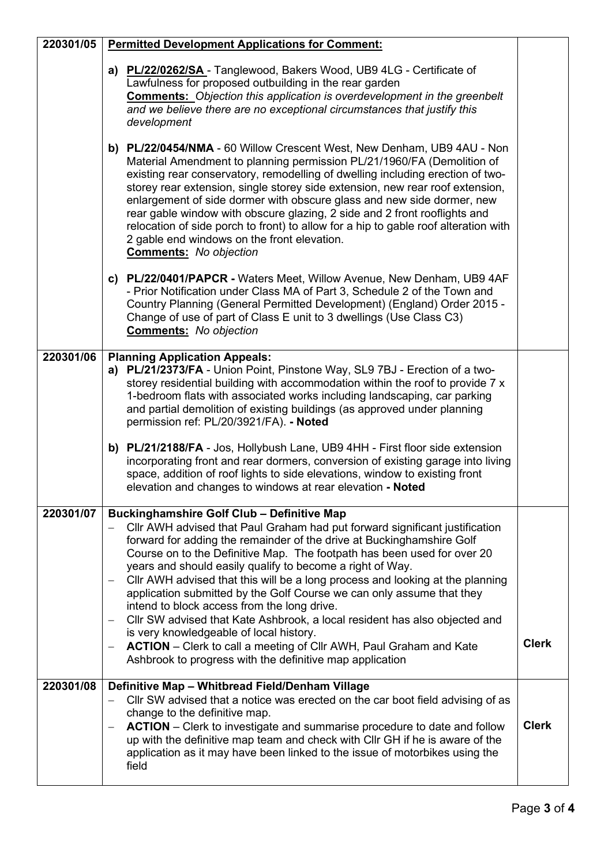| 220301/05 | <b>Permitted Development Applications for Comment:</b>                                                                                                                                                                                                                                                                                                                                                                                                                                                                                                                                                                                                                                                                                                                                                                                                   |              |  |
|-----------|----------------------------------------------------------------------------------------------------------------------------------------------------------------------------------------------------------------------------------------------------------------------------------------------------------------------------------------------------------------------------------------------------------------------------------------------------------------------------------------------------------------------------------------------------------------------------------------------------------------------------------------------------------------------------------------------------------------------------------------------------------------------------------------------------------------------------------------------------------|--------------|--|
|           | a) PL/22/0262/SA - Tanglewood, Bakers Wood, UB9 4LG - Certificate of<br>Lawfulness for proposed outbuilding in the rear garden<br><b>Comments:</b> Objection this application is overdevelopment in the greenbelt<br>and we believe there are no exceptional circumstances that justify this<br>development                                                                                                                                                                                                                                                                                                                                                                                                                                                                                                                                              |              |  |
|           | b) PL/22/0454/NMA - 60 Willow Crescent West, New Denham, UB9 4AU - Non<br>Material Amendment to planning permission PL/21/1960/FA (Demolition of<br>existing rear conservatory, remodelling of dwelling including erection of two-<br>storey rear extension, single storey side extension, new rear roof extension,<br>enlargement of side dormer with obscure glass and new side dormer, new<br>rear gable window with obscure glazing, 2 side and 2 front rooflights and<br>relocation of side porch to front) to allow for a hip to gable roof alteration with<br>2 gable end windows on the front elevation.<br><b>Comments:</b> No objection                                                                                                                                                                                                        |              |  |
|           | c) PL/22/0401/PAPCR - Waters Meet, Willow Avenue, New Denham, UB9 4AF<br>- Prior Notification under Class MA of Part 3, Schedule 2 of the Town and<br>Country Planning (General Permitted Development) (England) Order 2015 -<br>Change of use of part of Class E unit to 3 dwellings (Use Class C3)<br><b>Comments:</b> No objection                                                                                                                                                                                                                                                                                                                                                                                                                                                                                                                    |              |  |
| 220301/06 | <b>Planning Application Appeals:</b><br>a) PL/21/2373/FA - Union Point, Pinstone Way, SL9 7BJ - Erection of a two-<br>storey residential building with accommodation within the roof to provide 7 x<br>1-bedroom flats with associated works including landscaping, car parking<br>and partial demolition of existing buildings (as approved under planning<br>permission ref: PL/20/3921/FA). - Noted<br>b) PL/21/2188/FA - Jos, Hollybush Lane, UB9 4HH - First floor side extension                                                                                                                                                                                                                                                                                                                                                                   |              |  |
|           | incorporating front and rear dormers, conversion of existing garage into living<br>space, addition of roof lights to side elevations, window to existing front<br>elevation and changes to windows at rear elevation - Noted                                                                                                                                                                                                                                                                                                                                                                                                                                                                                                                                                                                                                             |              |  |
| 220301/07 | <b>Buckinghamshire Golf Club - Definitive Map</b><br>Cllr AWH advised that Paul Graham had put forward significant justification<br>forward for adding the remainder of the drive at Buckinghamshire Golf<br>Course on to the Definitive Map. The footpath has been used for over 20<br>years and should easily qualify to become a right of Way.<br>CIIr AWH advised that this will be a long process and looking at the planning<br>application submitted by the Golf Course we can only assume that they<br>intend to block access from the long drive.<br>CIIr SW advised that Kate Ashbrook, a local resident has also objected and<br>is very knowledgeable of local history.<br><b>ACTION</b> – Clerk to call a meeting of Cllr AWH, Paul Graham and Kate<br>$\overline{\phantom{m}}$<br>Ashbrook to progress with the definitive map application | <b>Clerk</b> |  |
| 220301/08 | Definitive Map - Whitbread Field/Denham Village<br>Cllr SW advised that a notice was erected on the car boot field advising of as<br>change to the definitive map.<br><b>ACTION</b> – Clerk to investigate and summarise procedure to date and follow<br>$\overline{\phantom{m}}$<br>up with the definitive map team and check with CIIr GH if he is aware of the<br>application as it may have been linked to the issue of motorbikes using the<br>field                                                                                                                                                                                                                                                                                                                                                                                                | <b>Clerk</b> |  |